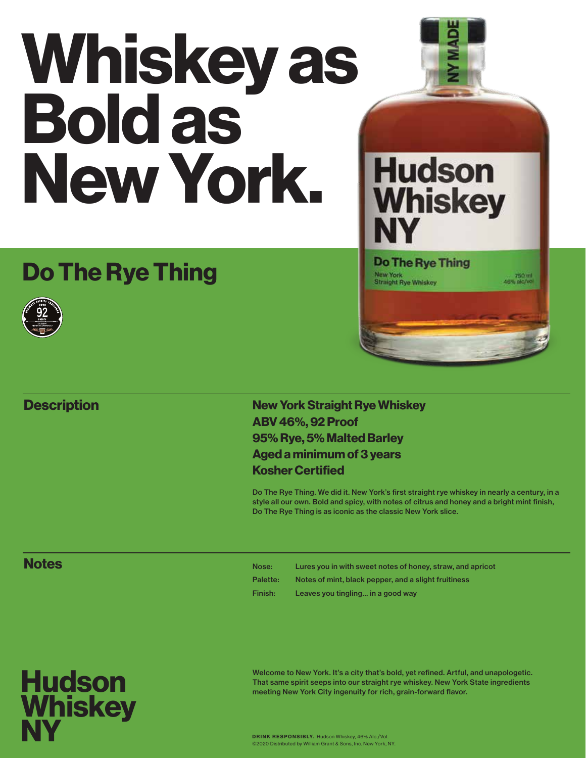# Whiskey as Bold as New York.

## Do The Rye Thing



#### **Description**

#### New York Straight Rye Whiskey ABV 46%, 92 Proof 95% Rye, 5% Malted Barley Aged a minimum of 3 years Kosher Certified

Do The Rye Thing. We did it. New York's first straight rye whiskey in nearly a century, in a style all our own. Bold and spicy, with notes of citrus and honey and a bright mint finish, Do The Rye Thing is as iconic as the classic New York slice.

New York<br>Straight Rye Whiskey

#### **Notes**

Nose: Lures you in with sweet notes of honey, straw, and apricot Palette: Notes of mint, black pepper, and a slight fruitiness Finish: Leaves you tingling… in a good way



Welcome to New York. It's a city that's bold, yet refined. Artful, and unapologetic. That same spirit seeps into our straight rye whiskey. New York State ingredients meeting New York City ingenuity for rich, grain-forward flavor.

DRINK RESPONSIBLY. Hudson Whiskey, 46% Alc./Vol. ©2020 Distributed by William Grant & Sons, Inc. New York, NY.





750 ml<br>46% aic/vo